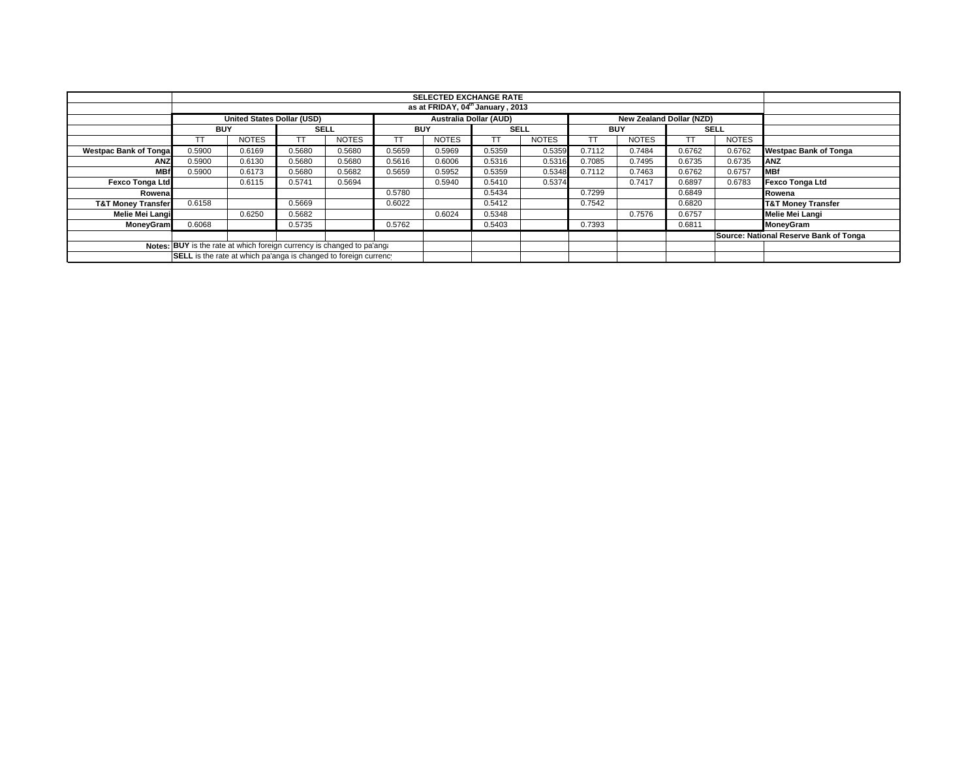|                                                                        | <b>SELECTED EXCHANGE RATE</b>    |                                   |             |              |            |                               |             |              |            |                                 |             |              |                                        |
|------------------------------------------------------------------------|----------------------------------|-----------------------------------|-------------|--------------|------------|-------------------------------|-------------|--------------|------------|---------------------------------|-------------|--------------|----------------------------------------|
|                                                                        | as at FRIDAY, 04th January, 2013 |                                   |             |              |            |                               |             |              |            |                                 |             |              |                                        |
|                                                                        |                                  | <b>United States Dollar (USD)</b> |             |              |            | <b>Australia Dollar (AUD)</b> |             |              |            | <b>New Zealand Dollar (NZD)</b> |             |              |                                        |
|                                                                        | <b>BUY</b>                       |                                   | <b>SELL</b> |              | <b>BUY</b> |                               | <b>SELL</b> |              | <b>BUY</b> |                                 | <b>SELL</b> |              |                                        |
|                                                                        |                                  | <b>NOTES</b>                      |             | <b>NOTES</b> |            | <b>NOTES</b>                  |             | <b>NOTES</b> | TT         | <b>NOTES</b>                    |             | <b>NOTES</b> |                                        |
| <b>Westpac Bank of Tonga</b>                                           | 0.5900                           | 0.6169                            | 0.5680      | 0.5680       | 0.5659     | 0.5969                        | 0.5359      | 0.5359       | 0.7112     | 0.7484                          | 0.6762      | 0.6762       | <b>Westpac Bank of Tonga</b>           |
| <b>ANZ</b>                                                             | 0.5900                           | 0.6130                            | 0.5680      | 0.5680       | 0.5616     | 0.6006                        | 0.5316      | 0.5316       | 0.7085     | 0.7495                          | 0.6735      | 0.6735       | <b>ANZ</b>                             |
| <b>MBf</b>                                                             | 0.5900                           | 0.6173                            | 0.5680      | 0.5682       | 0.5659     | 0.5952                        | 0.5359      | 0.5348       | 0.7112     | 0.7463                          | 0.6762      | 0.6757       | <b>IMBf</b>                            |
| <b>Fexco Tonga Ltd</b>                                                 |                                  | 0.6115                            | 0.5741      | 0.5694       |            | 0.5940                        | 0.5410      | 0.5374       |            | 0.7417                          | 0.6897      | 0.6783       | Fexco Tonga Ltd                        |
| Rowena                                                                 |                                  |                                   |             |              | 0.5780     |                               | 0.5434      |              | 0.7299     |                                 | 0.6849      |              | Rowena                                 |
| <b>T&amp;T Money Transfer</b>                                          | 0.6158                           |                                   | 0.5669      |              | 0.6022     |                               | 0.5412      |              | 0.7542     |                                 | 0.6820      |              | <b>T&amp;T Money Transfer</b>          |
| Melie Mei Langi                                                        |                                  | 0.6250                            | 0.5682      |              |            | 0.6024                        | 0.5348      |              |            | 0.7576                          | 0.6757      |              | Melie Mei Langi                        |
| <b>MoneyGram</b>                                                       | 0.6068                           |                                   | 0.5735      |              | 0.5762     |                               | 0.5403      |              | 0.7393     |                                 | 0.6811      |              | MoneyGram                              |
|                                                                        |                                  |                                   |             |              |            |                               |             |              |            |                                 |             |              | Source: National Reserve Bank of Tonga |
| Notes: BUY is the rate at which foreign currency is changed to pa'ang: |                                  |                                   |             |              |            |                               |             |              |            |                                 |             |              |                                        |
| SELL is the rate at which pa'anga is changed to foreign currency       |                                  |                                   |             |              |            |                               |             |              |            |                                 |             |              |                                        |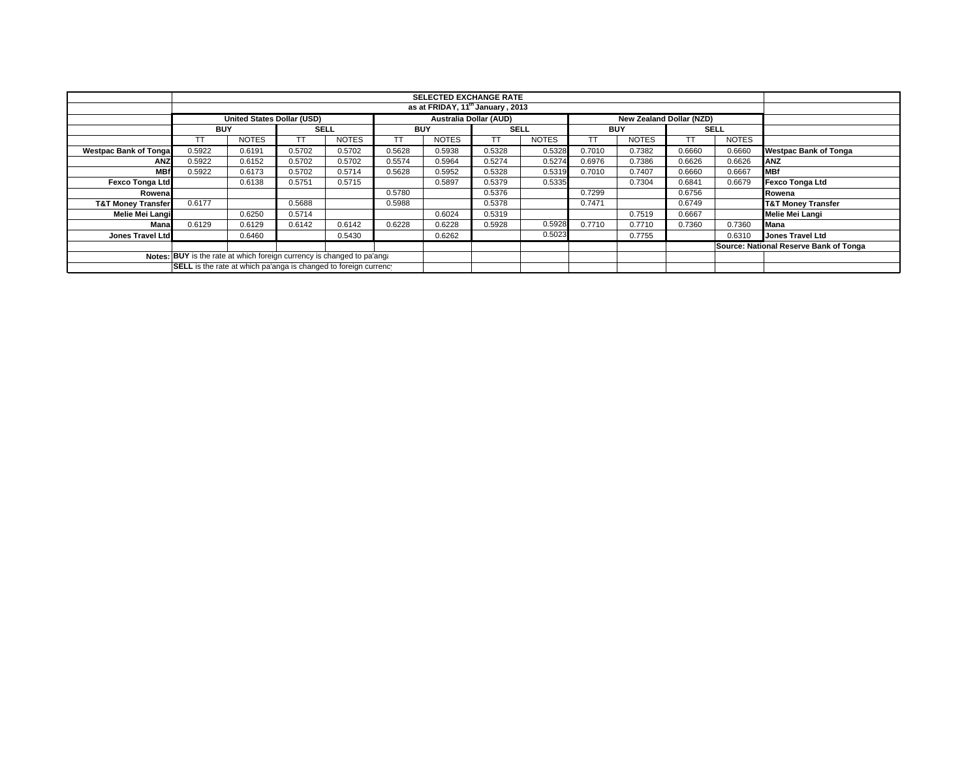| <b>SELECTED EXCHANGE RATE</b>                                          |            |                            |             |              |            |                               |             |              |            |                          |        |              |                                        |
|------------------------------------------------------------------------|------------|----------------------------|-------------|--------------|------------|-------------------------------|-------------|--------------|------------|--------------------------|--------|--------------|----------------------------------------|
| as at FRIDAY, 11 <sup>th</sup> January, 2013                           |            |                            |             |              |            |                               |             |              |            |                          |        |              |                                        |
|                                                                        |            | United States Dollar (USD) |             |              |            | <b>Australia Dollar (AUD)</b> |             |              |            | New Zealand Dollar (NZD) |        |              |                                        |
|                                                                        | <b>BUY</b> |                            | <b>SELL</b> |              | <b>BUY</b> |                               | <b>SELL</b> |              | <b>BUY</b> |                          |        | <b>SELL</b>  |                                        |
|                                                                        | TТ         | <b>NOTES</b>               |             | <b>NOTES</b> | ТT         | <b>NOTES</b>                  | тT          | <b>NOTES</b> |            | <b>NOTES</b>             |        | <b>NOTES</b> |                                        |
| <b>Westpac Bank of Tongal</b>                                          | 0.5922     | 0.6191                     | 0.5702      | 0.5702       | 0.5628     | 0.5938                        | 0.5328      | 0.5328       | 0.7010     | 0.7382                   | 0.6660 | 0.6660       | <b>Westpac Bank of Tonga</b>           |
| <b>ANZ</b>                                                             | 0.5922     | 0.6152                     | 0.5702      | 0.5702       | 0.5574     | 0.5964                        | 0.5274      | 0.5274       | 0.6976     | 0.7386                   | 0.6626 | 0.6626       | <b>ANZ</b>                             |
| <b>MBf</b>                                                             | 0.5922     | 0.6173                     | 0.5702      | 0.5714       | 0.5628     | 0.5952                        | 0.5328      | 0.5319       | 0.7010     | 0.7407                   | 0.6660 | 0.6667       | <b>MBf</b>                             |
| <b>Fexco Tonga Ltd</b>                                                 |            | 0.6138                     | 0.5751      | 0.5715       |            | 0.5897                        | 0.5379      | 0.5335       |            | 0.7304                   | 0.6841 | 0.6679       | <b>Fexco Tonga Ltd</b>                 |
| Rowenal                                                                |            |                            |             |              | 0.5780     |                               | 0.5376      |              | 0.7299     |                          | 0.6756 |              | Rowena                                 |
| <b>T&amp;T Money Transfer</b>                                          | 0.6177     |                            | 0.5688      |              | 0.5988     |                               | 0.5378      |              | 0.7471     |                          | 0.6749 |              | <b>T&amp;T Money Transfer</b>          |
| Melie Mei Langi                                                        |            | 0.6250                     | 0.5714      |              |            | 0.6024                        | 0.5319      |              |            | 0.7519                   | 0.6667 |              | Melie Mei Langi                        |
| Mana                                                                   | 0.6129     | 0.6129                     | 0.6142      | 0.6142       | 0.6228     | 0.6228                        | 0.5928      | 0.5928       | 0.7710     | 0.7710                   | 0.7360 | 0.7360       | Mana                                   |
| Jones Travel Ltd                                                       |            | 0.6460                     |             | 0.5430       |            | 0.6262                        |             | 0.5023       |            | 0.7755                   |        | 0.6310       | Jones Travel Ltd                       |
|                                                                        |            |                            |             |              |            |                               |             |              |            |                          |        |              | Source: National Reserve Bank of Tonga |
| Notes: BUY is the rate at which foreign currency is changed to pa'ang: |            |                            |             |              |            |                               |             |              |            |                          |        |              |                                        |
| SELL is the rate at which pa'anga is changed to foreign currency       |            |                            |             |              |            |                               |             |              |            |                          |        |              |                                        |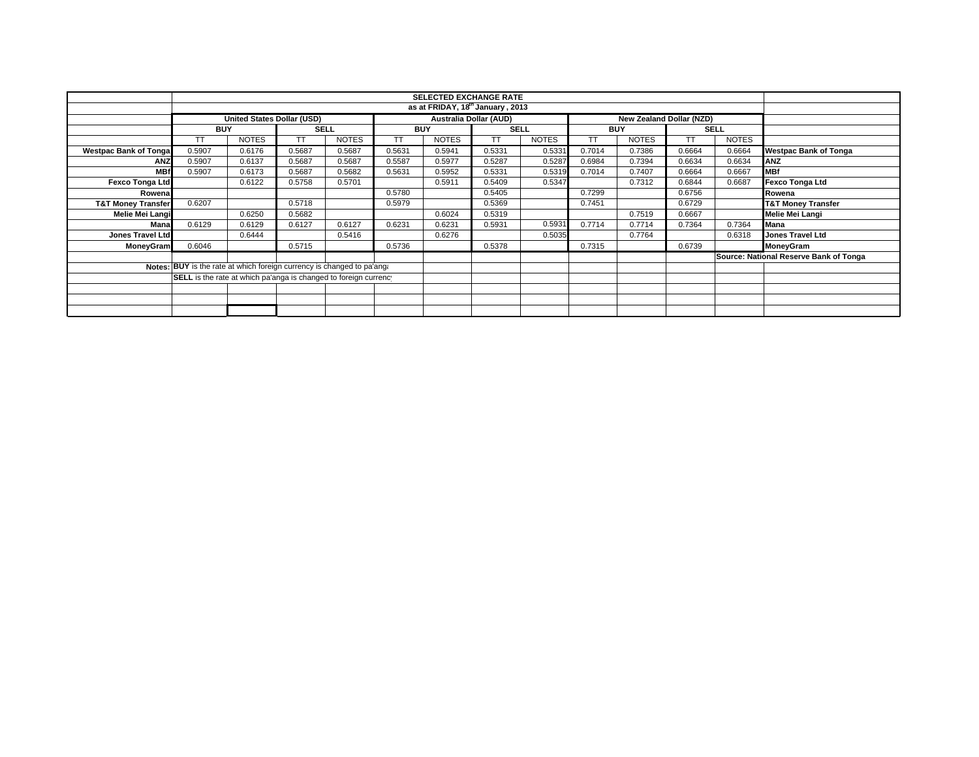|                               | <b>SELECTED EXCHANGE RATE</b><br>as at FRIDAY, 18th January, 2013      |                                   |             |              |                          |              |             |              |        |              |             |              |                                        |
|-------------------------------|------------------------------------------------------------------------|-----------------------------------|-------------|--------------|--------------------------|--------------|-------------|--------------|--------|--------------|-------------|--------------|----------------------------------------|
|                               |                                                                        |                                   |             |              |                          |              |             |              |        |              |             |              |                                        |
|                               |                                                                        | <b>United States Dollar (USD)</b> |             |              | New Zealand Dollar (NZD) |              |             |              |        |              |             |              |                                        |
|                               | <b>BUY</b>                                                             |                                   | <b>SELL</b> |              | <b>BUY</b>               |              | <b>SELL</b> |              |        | <b>BUY</b>   | <b>SELL</b> |              |                                        |
|                               | TΤ                                                                     | <b>NOTES</b>                      | TТ          | <b>NOTES</b> | TΤ                       | <b>NOTES</b> | <b>TT</b>   | <b>NOTES</b> | TT     | <b>NOTES</b> | ТT          | <b>NOTES</b> |                                        |
| <b>Westpac Bank of Tonga</b>  | 0.5907                                                                 | 0.6176                            | 0.5687      | 0.5687       | 0.5631                   | 0.5941       | 0.5331      | 0.5331       | 0.7014 | 0.7386       | 0.6664      | 0.6664       | <b>Westpac Bank of Tonga</b>           |
| <b>ANZ</b>                    | 0.5907                                                                 | 0.6137                            | 0.5687      | 0.5687       | 0.5587                   | 0.5977       | 0.5287      | 0.5287       | 0.6984 | 0.7394       | 0.6634      | 0.6634       | <b>ANZ</b>                             |
| <b>MBf</b>                    | 0.5907                                                                 | 0.6173                            | 0.5687      | 0.5682       | 0.5631                   | 0.5952       | 0.5331      | 0.5319       | 0.7014 | 0.7407       | 0.6664      | 0.6667       | <b>MBf</b>                             |
| Fexco Tonga Ltd               |                                                                        | 0.6122                            | 0.5758      | 0.5701       |                          | 0.5911       | 0.5409      | 0.5347       |        | 0.7312       | 0.6844      | 0.6687       | Fexco Tonga Ltd                        |
| Rowena                        |                                                                        |                                   |             |              | 0.5780                   |              | 0.5405      |              | 0.7299 |              | 0.6756      |              | Rowena                                 |
| <b>T&amp;T Money Transfer</b> | 0.6207                                                                 |                                   | 0.5718      |              | 0.5979                   |              | 0.5369      |              | 0.7451 |              | 0.6729      |              | <b>T&amp;T Money Transfer</b>          |
| Melie Mei Langi               |                                                                        | 0.6250                            | 0.5682      |              |                          | 0.6024       | 0.5319      |              |        | 0.7519       | 0.6667      |              | Melie Mei Langi                        |
| Mana                          | 0.6129                                                                 | 0.6129                            | 0.6127      | 0.6127       | 0.6231                   | 0.6231       | 0.5931      | 0.5931       | 0.7714 | 0.7714       | 0.7364      | 0.7364       | Mana                                   |
| Jones Travel Ltd              |                                                                        | 0.6444                            |             | 0.5416       |                          | 0.6276       |             | 0.5035       |        | 0.7764       |             | 0.6318       | <b>Jones Travel Ltd</b>                |
| <b>MoneyGram</b>              | 0.6046                                                                 |                                   | 0.5715      |              | 0.5736                   |              | 0.5378      |              | 0.7315 |              | 0.6739      |              | MoneyGram                              |
|                               |                                                                        |                                   |             |              |                          |              |             |              |        |              |             |              | Source: National Reserve Bank of Tonga |
|                               | Notes: BUY is the rate at which foreign currency is changed to pa'ang: |                                   |             |              |                          |              |             |              |        |              |             |              |                                        |
|                               | SELL is the rate at which pa'anga is changed to foreign currency       |                                   |             |              |                          |              |             |              |        |              |             |              |                                        |
|                               |                                                                        |                                   |             |              |                          |              |             |              |        |              |             |              |                                        |
|                               |                                                                        |                                   |             |              |                          |              |             |              |        |              |             |              |                                        |
|                               |                                                                        |                                   |             |              |                          |              |             |              |        |              |             |              |                                        |